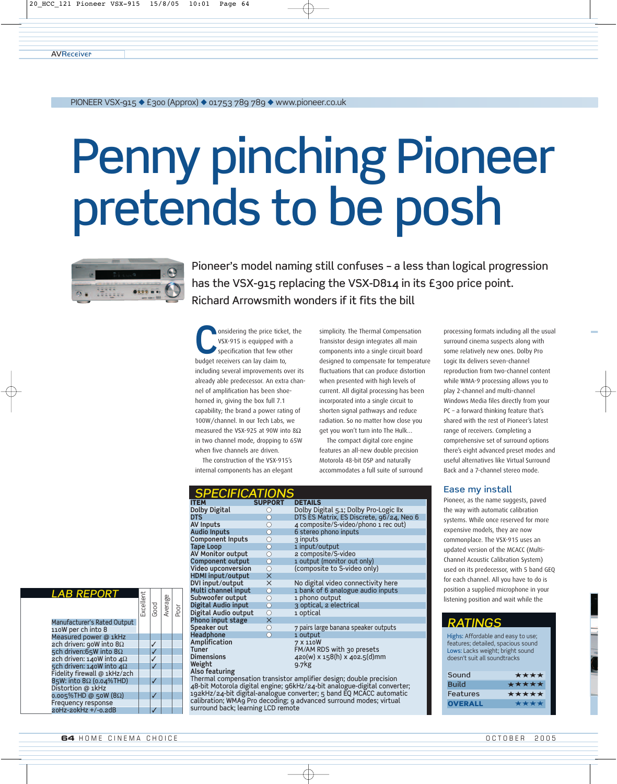20\_HCC\_121 Pioneer VSX-915 15/8/05 10:01 Page 64

**AVRECEIVER** 

#### PIONEER VSX-915 ◆ £300 (Approx) ◆ 01753 789 789 ◆ www.pioneer.co.uk

# Penny pinching Pioneer pretends to be posh



Pioneer's model naming still confuses – a less than logical progression has the VSX-915 replacing the VSX-D814 in its £300 price point. Richard Arrowsmith wonders if it fits the bill

onsidering the price ticket, the VSX-915 is equipped with a specification that few other budget receivers can lay claim to, including several improvements over its already able predecessor. An extra channel of amplification has been shoehorned in, giving the box full 7.1 capability; the brand a power rating of 100W/channel. In our Tech Labs, we measured the VSX-925 at 90W into 8Ω in two channel mode, dropping to 65W when five channels are driven. The construction of the VSX-915's

internal components has an elegant

ITEM SUPPORT<br>Dolby Digital O

**Component Inputs**<br>Tape Loop

**HDMI input/output**  $\times$ <br>DVI input/output  $\times$ 

**Digital Audio output**<br> **Phono input stage**<br>
Speaker out<br>
<br>  $\bigcirc$ **Phono input stage**<br>Speaker out

**Headphone** 

**Also featuring**

*SPECIFICATIONS*<br>Item support details

**Tape Loop** ● 1 input/output **AV Monitor output** ● 2 composite/S-video **Component output**  $\begin{array}{ccc}\n\bullet & \bullet & \bullet \\
\bullet & \bullet & \bullet\n\end{array}$  (composite to S-video only)

**Subwoofer output**  $\begin{array}{ccc}\n\bullet & \bullet & \bullet \\
\bullet & \bullet & \bullet \\
\bullet & \bullet & \bullet \\
\end{array}$  optical, 2 electric point

**Amplification**<br> **Tuner COMPONE TURE FOR THE FALAM R** 

**Weight** 9.7kg

surround back; learning LCD remote

**Dolby Digital**  $\bigcirc$  Dolby Digital 5.1; Dolby Pro-Logic IIx **DTS**  $\bigcirc$  DTS ES Matrix, ES Discrete, 96/24, Neo 6

**AV Inputs**  $\begin{array}{ccc}\n\bigcirc & 4 \text{ composite/S-video/phono 1 rec out} \\
\text{Audio inputs} & 6 \text{ stereo phono inputs} \\
\text{Component inputs} & 3 \text{ inputs} \\
\text{Tape Loop} & 1 \text{ input/output}\n\end{array}$ 

**DVI input/output** ✕ No digital video connectivity here **Multi channel input**  $\qquad \qquad \bigcirc$  1 bank of 6 analogue audio inputs

**Amplitication**<br>
Tuner FM/AM RDS with 30 presets<br>
Dimensions 220(w) x 158(h) x 402.5(d)m

Thermal compensation transistor amplifier design; double precision 48-bit Motorola digital engine; 96kHz/24-bit analogue-digital converter; 192kHz/24-bit digital-analogue converter; 5 band EQ MCACC automatic calibration; WMA9 Pro decoding; 9 advanced surround modes; virtual

Æ

**Digital Audie Burns Burns a** 3 optical, 2 electrical

**6 stereo phono inputs** 

(composite to S-video only)

**7 pairs large banana speaker outputs**<br>**1 output** 

**Dimensions** 420(w) x 158(h) x 402.5(d)mm

simplicity. The Thermal Compensation Transistor design integrates all main components into a single circuit board designed to compensate for temperature fluctuations that can produce distortion when presented with high levels of current. All digital processing has been incorporated into a single circuit to shorten signal pathways and reduce radiation. So no matter how close you get you won't turn into The Hulk…

The compact digital core engine features an all-new double precision Motorola 48-bit DSP and naturally accommodates a full suite of surround processing formats including all the usual surround cinema suspects along with some relatively new ones. Dolby Pro Logic IIx delivers seven-channel reproduction from two-channel content while WMA-9 processing allows you to play 2-channel and multi-channel Windows Media files directly from your PC – a forward thinking feature that's shared with the rest of Pioneer's latest range of receivers. Completing a comprehensive set of surround options there's eight advanced preset modes and useful alternatives like Virtual Surround Back and a 7-channel stereo mode.

### Ease my install

Pioneer, as the name suggests, paved the way with automatic calibration systems. While once reserved for more expensive models, they are now commonplace. The VSX-915 uses an updated version of the MCACC (Multi-Channel Acoustic Calibration System) used on its predecessor, with 5 band GEQ for each channel. All you have to do is position a supplied microphone in your listening position and wait while the

# *RATINGS*

Highs: Affordable and easy to use; features; detailed, spacious sound Lows: Lacks weight; bright sound doesn't suit all soundtracks

| ***** |
|-------|
| ***** |
| ****  |
|       |

| <b>LAB REPORT</b>                                 | Excellent | Good | Average | Poor |
|---------------------------------------------------|-----------|------|---------|------|
| Manufacturer's Rated Output<br>110W per ch into 8 |           |      |         |      |
| Measured power @ 1kHz                             |           |      |         |      |
| ach driven: goW into $8\Omega$                    |           |      |         |      |
| 5ch driven:65W into 8 $\Omega$                    |           |      |         |      |
| ach driven: $140W$ into $4\Omega$                 |           |      |         |      |
| 5ch driven: 140W into 4 $\Omega$                  |           |      |         |      |
| Fidelity firewall @ 1kHz/2ch                      |           |      |         |      |
| 85W: into 8Ω (0.04%THD)                           |           |      |         |      |
| Distortion @ 1kHz                                 |           |      |         |      |
| $0.005\%$ THD @ 50W (8Ω)                          |           |      |         |      |
| Frequency response                                |           |      |         |      |
| 20Hz-20kHz +/-0.2dB                               |           |      |         |      |